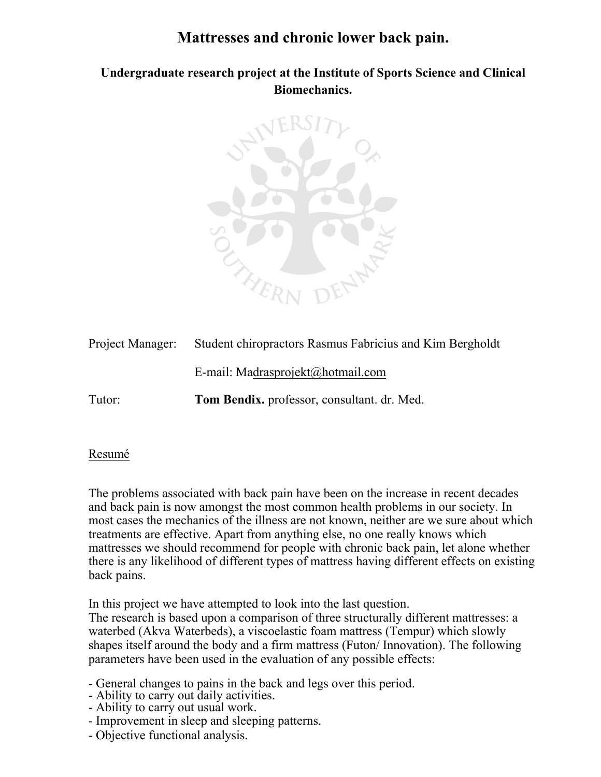# **Mattresses and chronic lower back pain.**

**Undergraduate research project at the Institute of Sports Science and Clinical Biomechanics.** 



| Project Manager: | Student chiropractors Rasmus Fabricius and Kim Bergholdt |
|------------------|----------------------------------------------------------|
|                  | E-mail: Madrasprojekt@hotmail.com                        |
| Tutor:           | Tom Bendix, professor, consultant. dr. Med.              |

### Resumé

The problems associated with back pain have been on the increase in recent decades and back pain is now amongst the most common health problems in our society. In most cases the mechanics of the illness are not known, neither are we sure about which treatments are effective. Apart from anything else, no one really knows which mattresses we should recommend for people with chronic back pain, let alone whether there is any likelihood of different types of mattress having different effects on existing back pains.

In this project we have attempted to look into the last question.

The research is based upon a comparison of three structurally different mattresses: a waterbed (Akva Waterbeds), a viscoelastic foam mattress (Tempur) which slowly shapes itself around the body and a firm mattress (Futon/ Innovation). The following parameters have been used in the evaluation of any possible effects:

- General changes to pains in the back and legs over this period.
- Ability to carry out daily activities.
- Ability to carry out usual work.
- Improvement in sleep and sleeping patterns.
- Objective functional analysis.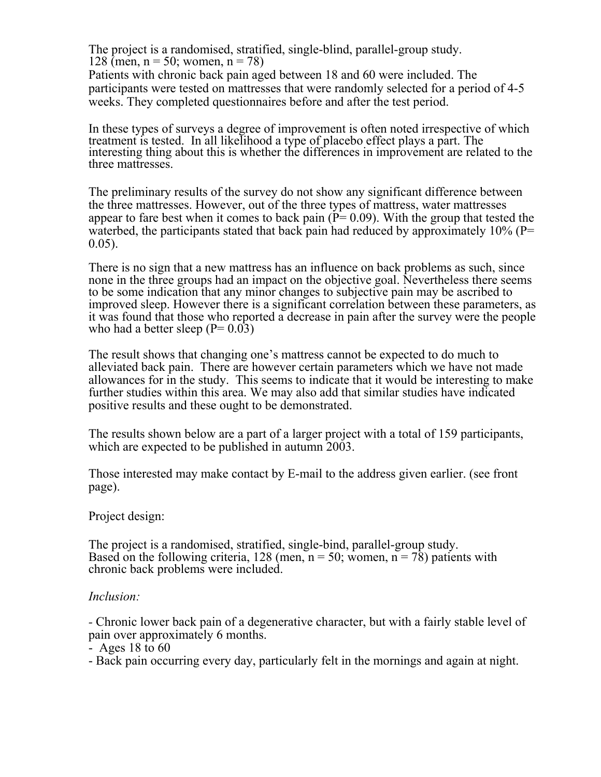The project is a randomised, stratified, single-blind, parallel-group study. 128 (men,  $n = 50$ ; women,  $n = 78$ )

Patients with chronic back pain aged between 18 and 60 were included. The participants were tested on mattresses that were randomly selected for a period of 4-5 weeks. They completed questionnaires before and after the test period.

In these types of surveys a degree of improvement is often noted irrespective of which treatment is tested. In all likelihood a type of placebo effect plays a part. The interesting thing about this is whether the differences in improvement are related to the three mattresses.

The preliminary results of the survey do not show any significant difference between the three mattresses. However, out of the three types of mattress, water mattresses appear to fare best when it comes to back pain ( $\dot{P}$  = 0.09). With the group that tested the waterbed, the participants stated that back pain had reduced by approximately  $10\%$  (P=  $0.05$ ).

There is no sign that a new mattress has an influence on back problems as such, since none in the three groups had an impact on the objective goal. Nevertheless there seems to be some indication that any minor changes to subjective pain may be ascribed to improved sleep. However there is a significant correlation between these parameters, as it was found that those who reported a decrease in pain after the survey were the people who had a better sleep  $(P= 0.03)$ 

The result shows that changing one's mattress cannot be expected to do much to alleviated back pain. There are however certain parameters which we have not made allowances for in the study. This seems to indicate that it would be interesting to make further studies within this area. We may also add that similar studies have indicated positive results and these ought to be demonstrated.

The results shown below are a part of a larger project with a total of 159 participants, which are expected to be published in autumn 2003.

Those interested may make contact by E-mail to the address given earlier. (see front page).

Project design:

The project is a randomised, stratified, single-bind, parallel-group study. Based on the following criteria, 128 (men,  $n = 50$ ; women,  $n = 78$ ) patients with chronic back problems were included.

### *Inclusion:*

*-* Chronic lower back pain of a degenerative character, but with a fairly stable level of pain over approximately 6 months.

- Ages 18 to 60

- Back pain occurring every day, particularly felt in the mornings and again at night.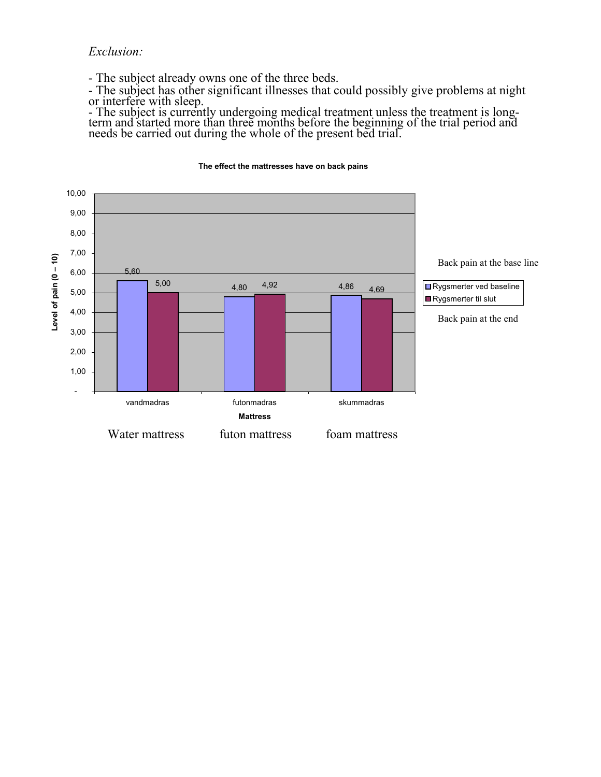*Exclusion:* 

- The subject already owns one of the three beds.

- The subject has other significant illnesses that could possibly give problems at night or interfere with sleep.

- The subject is currently undergoing medical treatment unless the treatment is long-<br>term and started more than three months before the beginning of the trial period and<br>needs be carried out during the whole of the presen



#### **The effect the mattresses have on back pains**